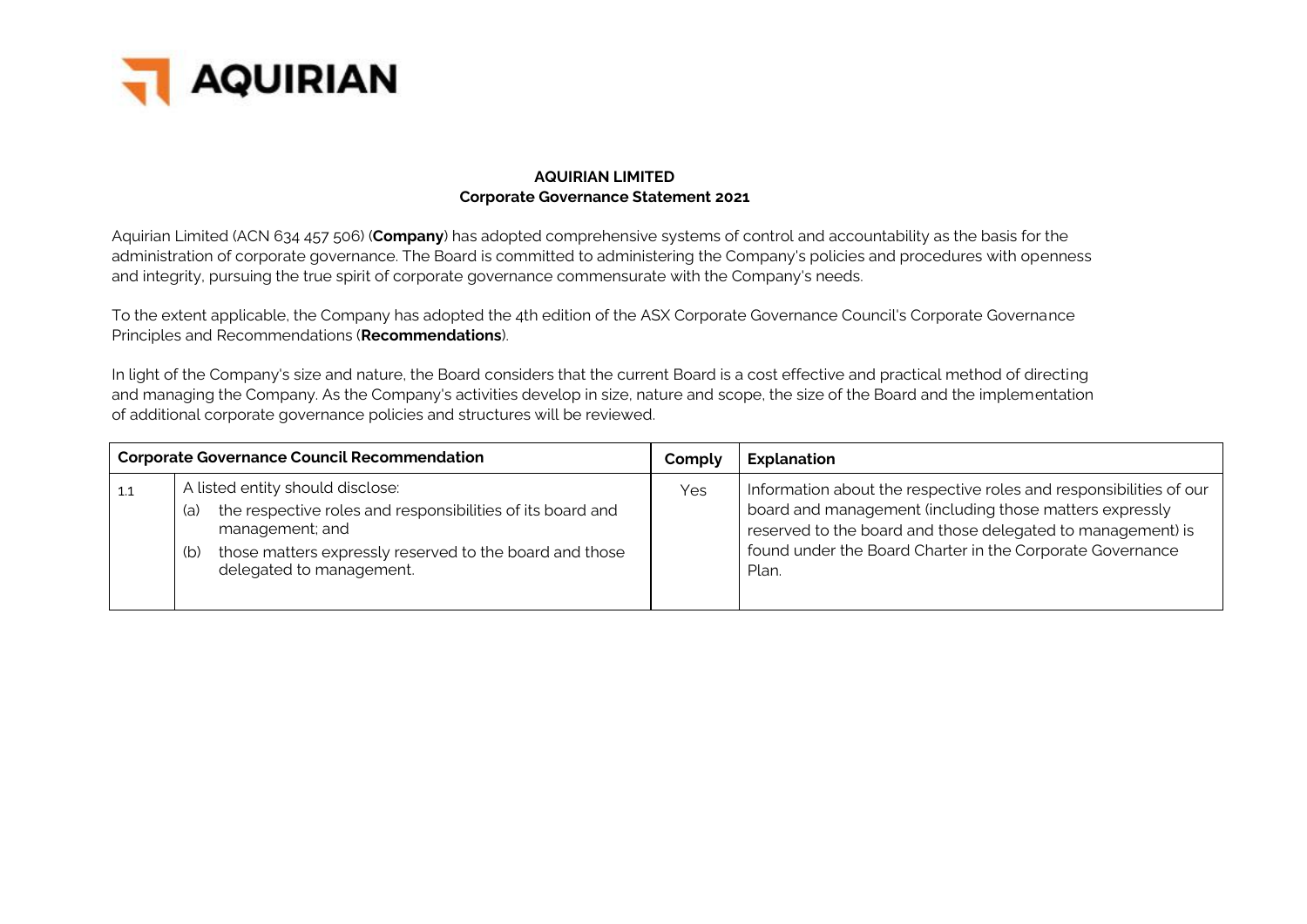

#### **AQUIRIAN LIMITED Corporate Governance Statement 2021**

Aquirian Limited (ACN 634 457 506) (**Company**) has adopted comprehensive systems of control and accountability as the basis for the administration of corporate governance. The Board is committed to administering the Company's policies and procedures with openness and integrity, pursuing the true spirit of corporate governance commensurate with the Company's needs.

To the extent applicable, the Company has adopted the 4th edition of the ASX Corporate Governance Council's Corporate Governance Principles and Recommendations (**Recommendations**).

In light of the Company's size and nature, the Board considers that the current Board is a cost effective and practical method of directing and managing the Company. As the Company's activities develop in size, nature and scope, the size of the Board and the implementation of additional corporate governance policies and structures will be reviewed.

|     |            | <b>Corporate Governance Council Recommendation</b>                                                                                                                                                       | Comply | <b>Explanation</b>                                                                                                                                                                                                                                                 |
|-----|------------|----------------------------------------------------------------------------------------------------------------------------------------------------------------------------------------------------------|--------|--------------------------------------------------------------------------------------------------------------------------------------------------------------------------------------------------------------------------------------------------------------------|
| 1.1 | (a)<br>(b) | A listed entity should disclose:<br>the respective roles and responsibilities of its board and<br>management; and<br>those matters expressly reserved to the board and those<br>delegated to management. | Yes    | Information about the respective roles and responsibilities of our<br>board and management (including those matters expressly<br>reserved to the board and those delegated to management) is<br>found under the Board Charter in the Corporate Governance<br>Plan. |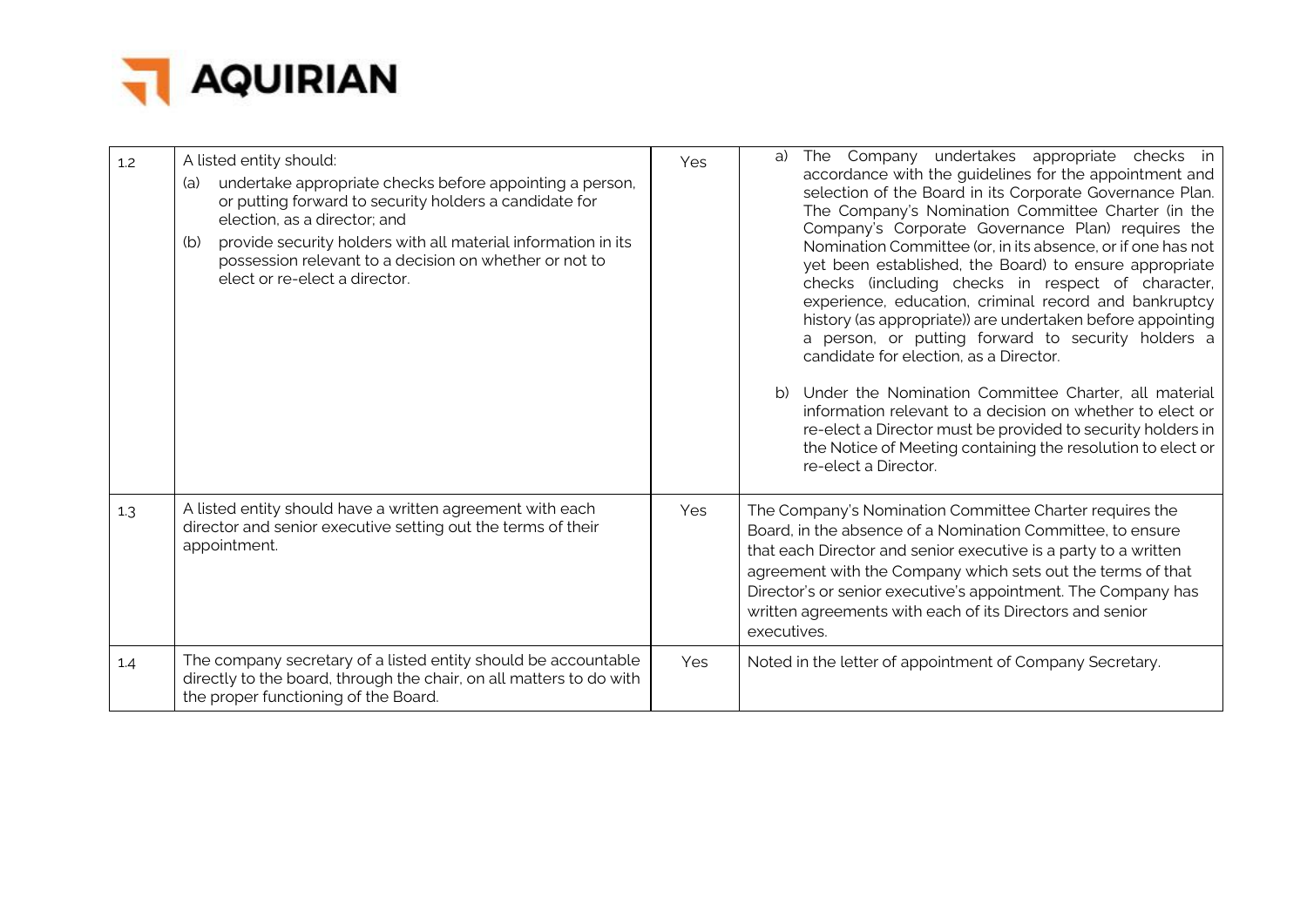

| 1.2 | A listed entity should:<br>undertake appropriate checks before appointing a person,<br>(a)<br>or putting forward to security holders a candidate for<br>election, as a director; and<br>provide security holders with all material information in its<br>(b)<br>possession relevant to a decision on whether or not to<br>elect or re-elect a director. | Yes | The Company undertakes appropriate checks in<br>a)<br>accordance with the guidelines for the appointment and<br>selection of the Board in its Corporate Governance Plan.<br>The Company's Nomination Committee Charter (in the<br>Company's Corporate Governance Plan) requires the<br>Nomination Committee (or, in its absence, or if one has not<br>yet been established, the Board) to ensure appropriate<br>checks (including checks in respect of character,<br>experience, education, criminal record and bankruptcy<br>history (as appropriate)) are undertaken before appointing<br>a person, or putting forward to security holders a<br>candidate for election, as a Director.<br>b) Under the Nomination Committee Charter, all material<br>information relevant to a decision on whether to elect or<br>re-elect a Director must be provided to security holders in<br>the Notice of Meeting containing the resolution to elect or<br>re-elect a Director. |
|-----|---------------------------------------------------------------------------------------------------------------------------------------------------------------------------------------------------------------------------------------------------------------------------------------------------------------------------------------------------------|-----|------------------------------------------------------------------------------------------------------------------------------------------------------------------------------------------------------------------------------------------------------------------------------------------------------------------------------------------------------------------------------------------------------------------------------------------------------------------------------------------------------------------------------------------------------------------------------------------------------------------------------------------------------------------------------------------------------------------------------------------------------------------------------------------------------------------------------------------------------------------------------------------------------------------------------------------------------------------------|
| 1.3 | A listed entity should have a written agreement with each<br>director and senior executive setting out the terms of their<br>appointment.                                                                                                                                                                                                               | Yes | The Company's Nomination Committee Charter requires the<br>Board, in the absence of a Nomination Committee, to ensure<br>that each Director and senior executive is a party to a written<br>agreement with the Company which sets out the terms of that<br>Director's or senior executive's appointment. The Company has<br>written agreements with each of its Directors and senior<br>executives.                                                                                                                                                                                                                                                                                                                                                                                                                                                                                                                                                                    |
| 1.4 | The company secretary of a listed entity should be accountable<br>directly to the board, through the chair, on all matters to do with<br>the proper functioning of the Board.                                                                                                                                                                           | Yes | Noted in the letter of appointment of Company Secretary.                                                                                                                                                                                                                                                                                                                                                                                                                                                                                                                                                                                                                                                                                                                                                                                                                                                                                                               |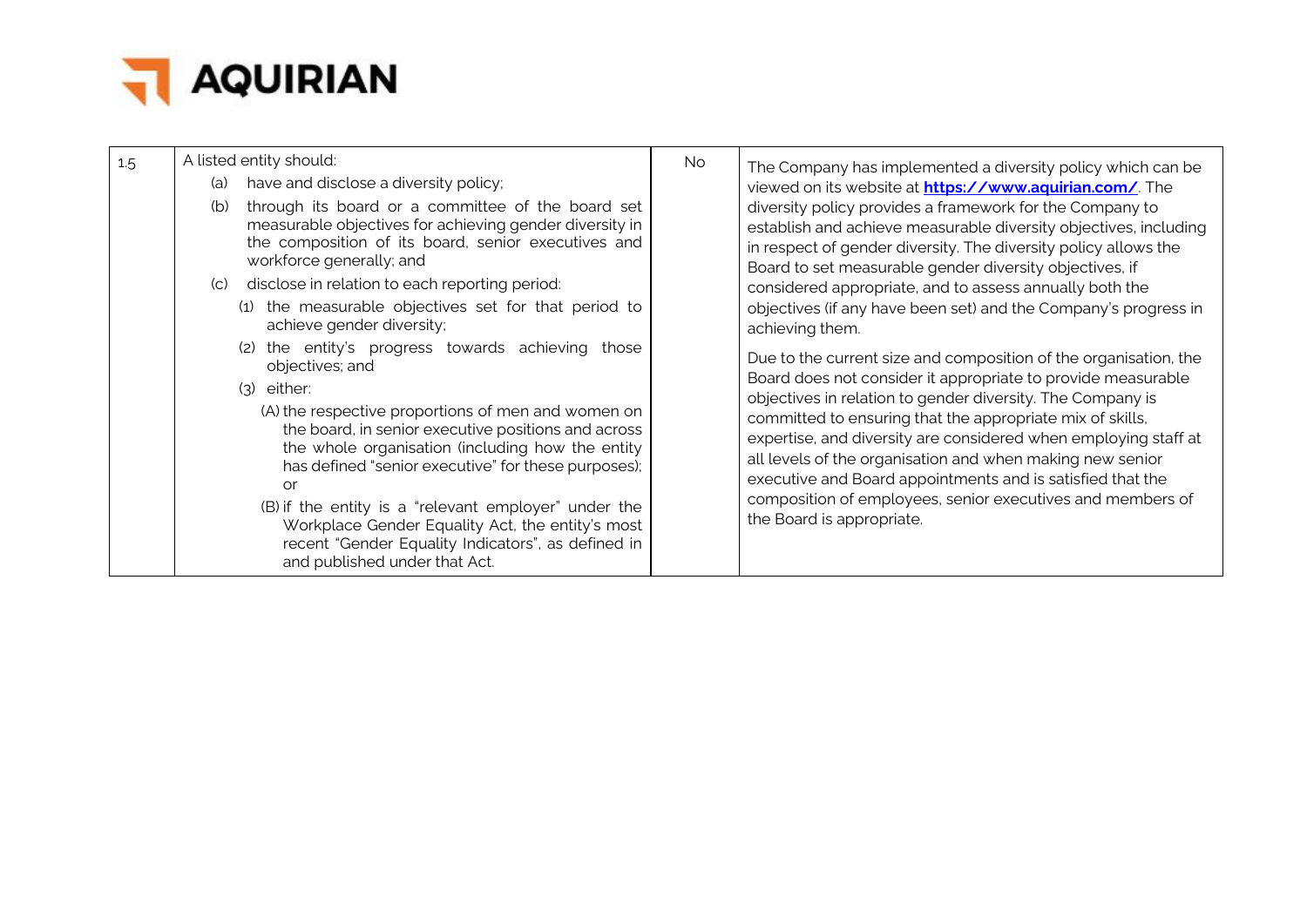

| 1.5 |     | A listed entity should:                                                                                                                                                                                                                                                                                                                                                                                                       | No. | The Company has implemented a diversity policy which can be                                                                                                                                                                                                                                                                                        |
|-----|-----|-------------------------------------------------------------------------------------------------------------------------------------------------------------------------------------------------------------------------------------------------------------------------------------------------------------------------------------------------------------------------------------------------------------------------------|-----|----------------------------------------------------------------------------------------------------------------------------------------------------------------------------------------------------------------------------------------------------------------------------------------------------------------------------------------------------|
|     | (a) | have and disclose a diversity policy;                                                                                                                                                                                                                                                                                                                                                                                         |     | viewed on its website at <b>https://www.aquirian.com/</b> . The                                                                                                                                                                                                                                                                                    |
|     | (b) | through its board or a committee of the board set<br>measurable objectives for achieving gender diversity in<br>the composition of its board, senior executives and<br>workforce generally; and                                                                                                                                                                                                                               |     | diversity policy provides a framework for the Company to<br>establish and achieve measurable diversity objectives, including<br>in respect of gender diversity. The diversity policy allows the<br>Board to set measurable gender diversity objectives, if                                                                                         |
|     |     | (c) disclose in relation to each reporting period:                                                                                                                                                                                                                                                                                                                                                                            |     | considered appropriate, and to assess annually both the                                                                                                                                                                                                                                                                                            |
|     |     | (1) the measurable objectives set for that period to<br>achieve gender diversity;                                                                                                                                                                                                                                                                                                                                             |     | objectives (if any have been set) and the Company's progress in<br>achieving them.                                                                                                                                                                                                                                                                 |
|     |     | the entity's progress towards achieving those<br>(2)<br>objectives; and                                                                                                                                                                                                                                                                                                                                                       |     | Due to the current size and composition of the organisation, the                                                                                                                                                                                                                                                                                   |
|     |     | $(3)$ either:                                                                                                                                                                                                                                                                                                                                                                                                                 |     | Board does not consider it appropriate to provide measurable<br>objectives in relation to gender diversity. The Company is                                                                                                                                                                                                                         |
|     |     | (A) the respective proportions of men and women on<br>the board, in senior executive positions and across<br>the whole organisation (including how the entity<br>has defined "senior executive" for these purposes);<br>or<br>(B) if the entity is a "relevant employer" under the<br>Workplace Gender Equality Act, the entity's most<br>recent "Gender Equality Indicators", as defined in<br>and published under that Act. |     | committed to ensuring that the appropriate mix of skills,<br>expertise, and diversity are considered when employing staff at<br>all levels of the organisation and when making new senior<br>executive and Board appointments and is satisfied that the<br>composition of employees, senior executives and members of<br>the Board is appropriate. |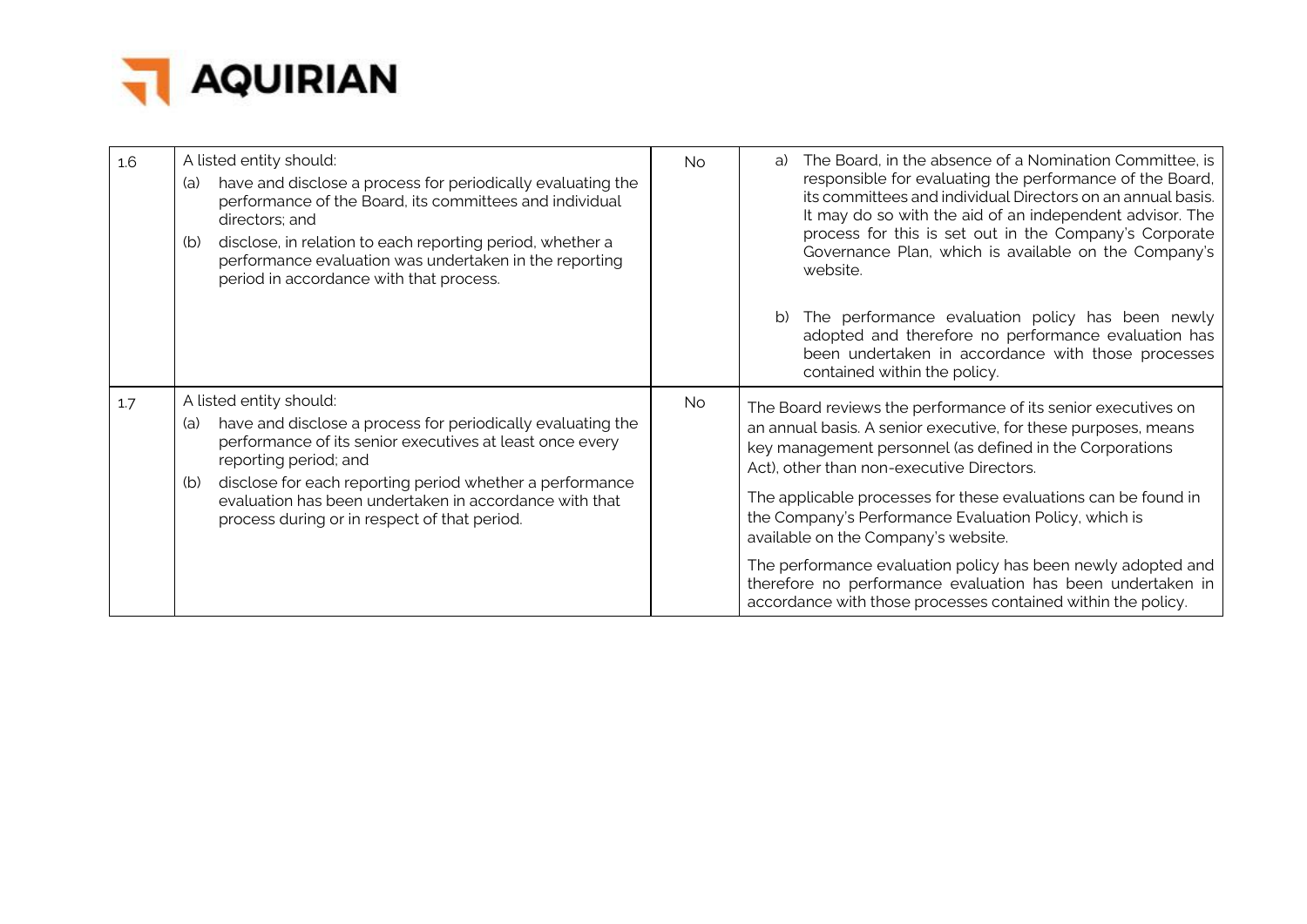

| 1.6 | A listed entity should:<br>have and disclose a process for periodically evaluating the<br>(a)<br>performance of the Board, its committees and individual<br>directors; and<br>disclose, in relation to each reporting period, whether a<br>(b)<br>performance evaluation was undertaken in the reporting<br>period in accordance with that process.             | No.       | The Board, in the absence of a Nomination Committee, is<br>a)<br>responsible for evaluating the performance of the Board,<br>its committees and individual Directors on an annual basis.<br>It may do so with the aid of an independent advisor. The<br>process for this is set out in the Company's Corporate<br>Governance Plan, which is available on the Company's<br>website.                         |
|-----|-----------------------------------------------------------------------------------------------------------------------------------------------------------------------------------------------------------------------------------------------------------------------------------------------------------------------------------------------------------------|-----------|------------------------------------------------------------------------------------------------------------------------------------------------------------------------------------------------------------------------------------------------------------------------------------------------------------------------------------------------------------------------------------------------------------|
|     |                                                                                                                                                                                                                                                                                                                                                                 |           | The performance evaluation policy has been newly<br>adopted and therefore no performance evaluation has<br>been undertaken in accordance with those processes<br>contained within the policy.                                                                                                                                                                                                              |
| 1.7 | A listed entity should:<br>have and disclose a process for periodically evaluating the<br>(a)<br>performance of its senior executives at least once every<br>reporting period; and<br>disclose for each reporting period whether a performance<br>(b)<br>evaluation has been undertaken in accordance with that<br>process during or in respect of that period. | <b>No</b> | The Board reviews the performance of its senior executives on<br>an annual basis. A senior executive, for these purposes, means<br>key management personnel (as defined in the Corporations<br>Act), other than non-executive Directors.<br>The applicable processes for these evaluations can be found in<br>the Company's Performance Evaluation Policy, which is<br>available on the Company's website. |
|     |                                                                                                                                                                                                                                                                                                                                                                 |           | The performance evaluation policy has been newly adopted and<br>therefore no performance evaluation has been undertaken in<br>accordance with those processes contained within the policy.                                                                                                                                                                                                                 |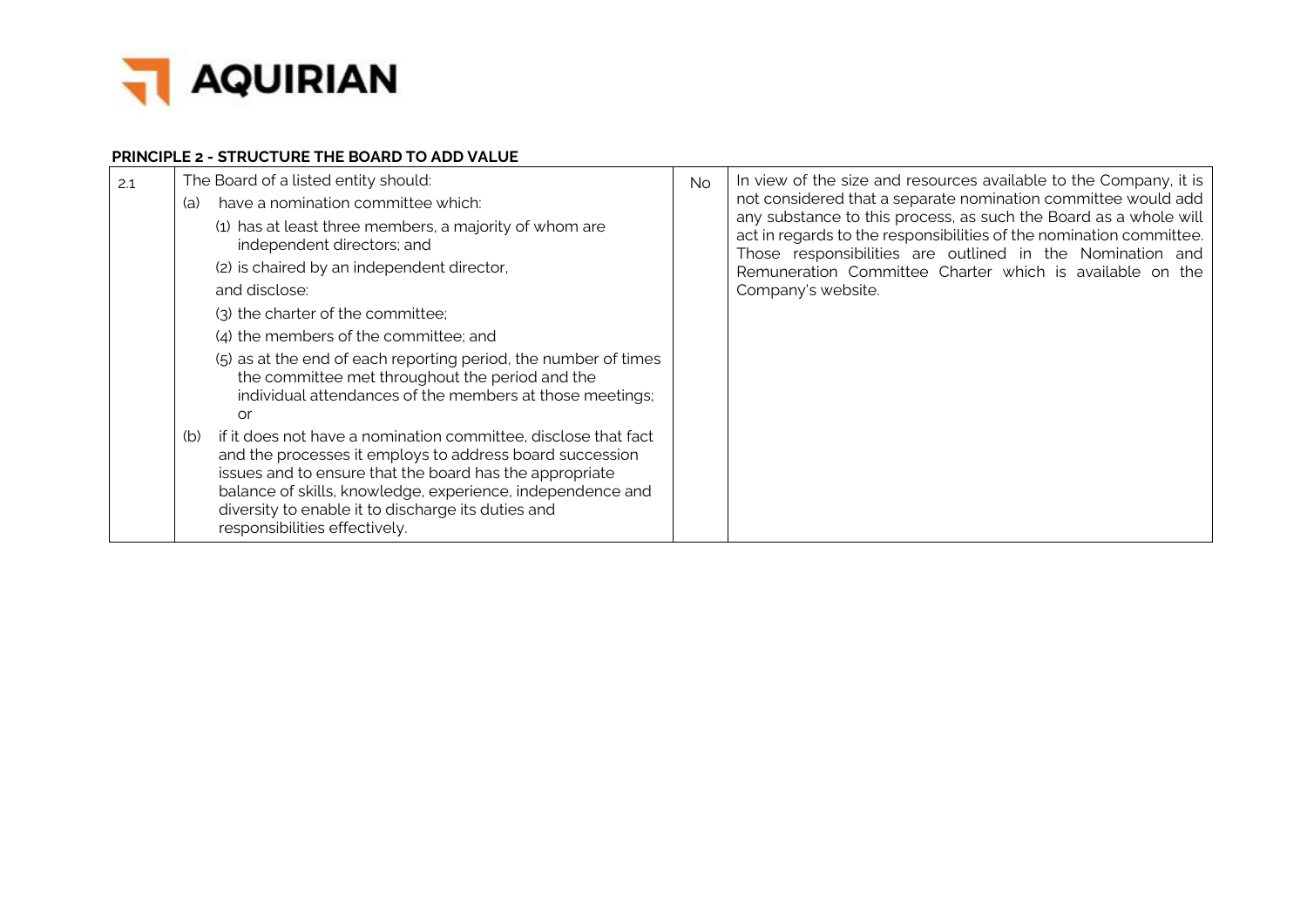

#### **PRINCIPLE 2 - STRUCTURE THE BOARD TO ADD VALUE**

| 2.1 | (a) | The Board of a listed entity should:<br>have a nomination committee which:<br>(1) has at least three members, a majority of whom are<br>independent directors; and<br>(2) is chaired by an independent director,<br>and disclose:<br>(3) the charter of the committee;<br>(4) the members of the committee; and<br>(5) as at the end of each reporting period, the number of times<br>the committee met throughout the period and the<br>individual attendances of the members at those meetings;<br>or | <b>No</b> | In view of the size and resources available to the Company, it is<br>not considered that a separate nomination committee would add<br>any substance to this process, as such the Board as a whole will<br>act in regards to the responsibilities of the nomination committee.<br>Those responsibilities are outlined in the Nomination and<br>Remuneration Committee Charter which is available on the<br>Company's website. |
|-----|-----|---------------------------------------------------------------------------------------------------------------------------------------------------------------------------------------------------------------------------------------------------------------------------------------------------------------------------------------------------------------------------------------------------------------------------------------------------------------------------------------------------------|-----------|------------------------------------------------------------------------------------------------------------------------------------------------------------------------------------------------------------------------------------------------------------------------------------------------------------------------------------------------------------------------------------------------------------------------------|
|     | (b) | if it does not have a nomination committee, disclose that fact<br>and the processes it employs to address board succession<br>issues and to ensure that the board has the appropriate<br>balance of skills, knowledge, experience, independence and<br>diversity to enable it to discharge its duties and<br>responsibilities effectively.                                                                                                                                                              |           |                                                                                                                                                                                                                                                                                                                                                                                                                              |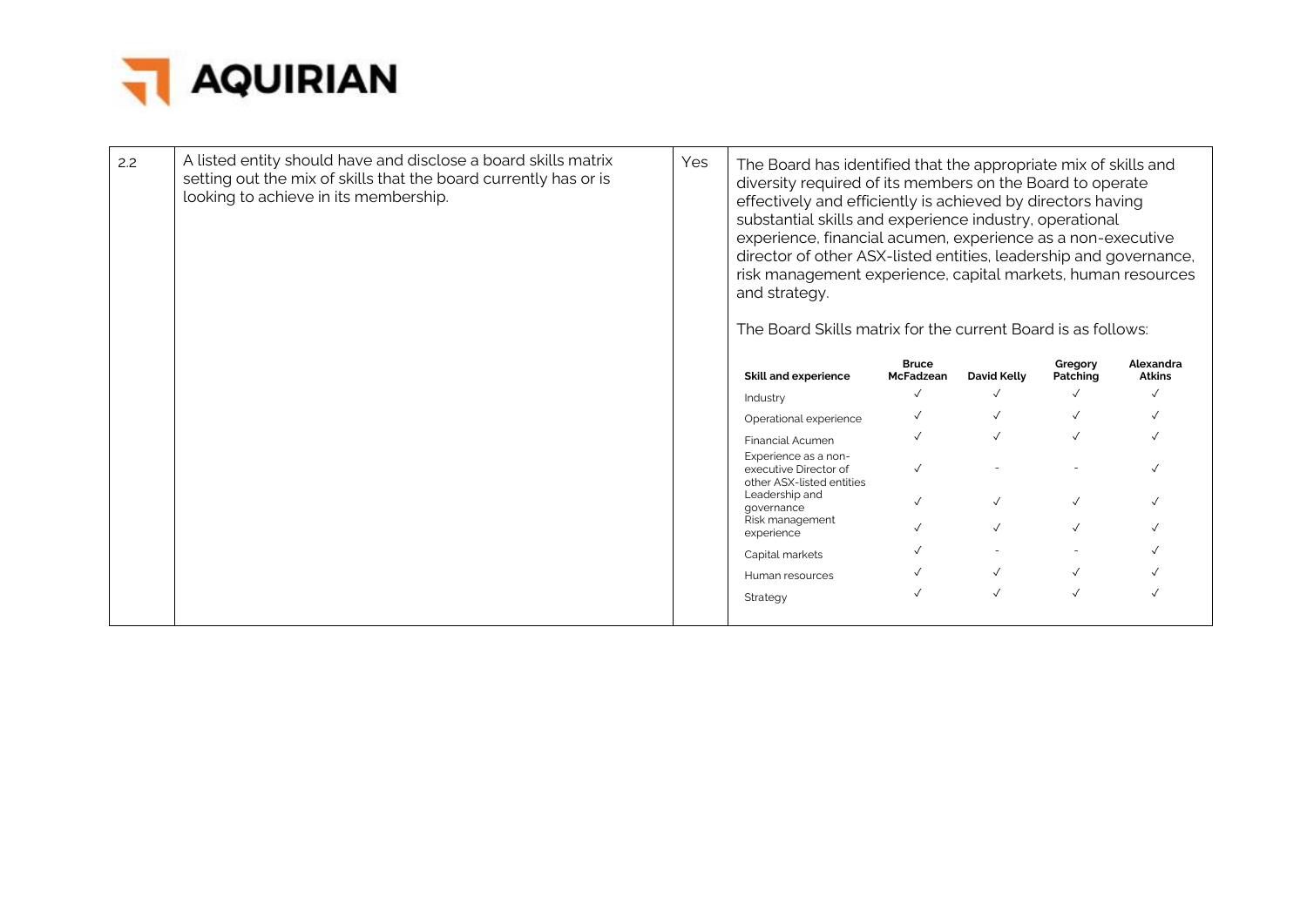

| 2.2 | A listed entity should have and disclose a board skills matrix<br>setting out the mix of skills that the board currently has or is<br>looking to achieve in its membership. | Yes | The Board has identified that the appropriate mix of skills and<br>diversity required of its members on the Board to operate<br>effectively and efficiently is achieved by directors having<br>substantial skills and experience industry, operational<br>experience, financial acumen, experience as a non-executive<br>director of other ASX-listed entities, leadership and governance,<br>risk management experience, capital markets, human resources<br>and strategy.<br>The Board Skills matrix for the current Board is as follows: |                           |              |                     |                            |
|-----|-----------------------------------------------------------------------------------------------------------------------------------------------------------------------------|-----|---------------------------------------------------------------------------------------------------------------------------------------------------------------------------------------------------------------------------------------------------------------------------------------------------------------------------------------------------------------------------------------------------------------------------------------------------------------------------------------------------------------------------------------------|---------------------------|--------------|---------------------|----------------------------|
|     |                                                                                                                                                                             |     | <b>Skill and experience</b>                                                                                                                                                                                                                                                                                                                                                                                                                                                                                                                 | <b>Bruce</b><br>McFadzean | David Kelly  | Gregory<br>Patching | Alexandra<br><b>Atkins</b> |
|     |                                                                                                                                                                             |     | Industry                                                                                                                                                                                                                                                                                                                                                                                                                                                                                                                                    |                           | $\checkmark$ |                     |                            |
|     |                                                                                                                                                                             |     | Operational experience                                                                                                                                                                                                                                                                                                                                                                                                                                                                                                                      |                           |              |                     |                            |
|     |                                                                                                                                                                             |     | <b>Financial Acumen</b>                                                                                                                                                                                                                                                                                                                                                                                                                                                                                                                     |                           |              |                     |                            |
|     |                                                                                                                                                                             |     | Experience as a non-<br>executive Director of<br>other ASX-listed entities                                                                                                                                                                                                                                                                                                                                                                                                                                                                  |                           |              |                     |                            |
|     |                                                                                                                                                                             |     | Leadership and<br>qovernance                                                                                                                                                                                                                                                                                                                                                                                                                                                                                                                |                           | $\checkmark$ |                     |                            |
|     |                                                                                                                                                                             |     | Risk management<br>experience                                                                                                                                                                                                                                                                                                                                                                                                                                                                                                               |                           |              |                     |                            |
|     |                                                                                                                                                                             |     | Capital markets                                                                                                                                                                                                                                                                                                                                                                                                                                                                                                                             |                           |              |                     |                            |
|     |                                                                                                                                                                             |     | Human resources                                                                                                                                                                                                                                                                                                                                                                                                                                                                                                                             |                           |              |                     |                            |
|     |                                                                                                                                                                             |     | Strategy                                                                                                                                                                                                                                                                                                                                                                                                                                                                                                                                    |                           | $\checkmark$ |                     |                            |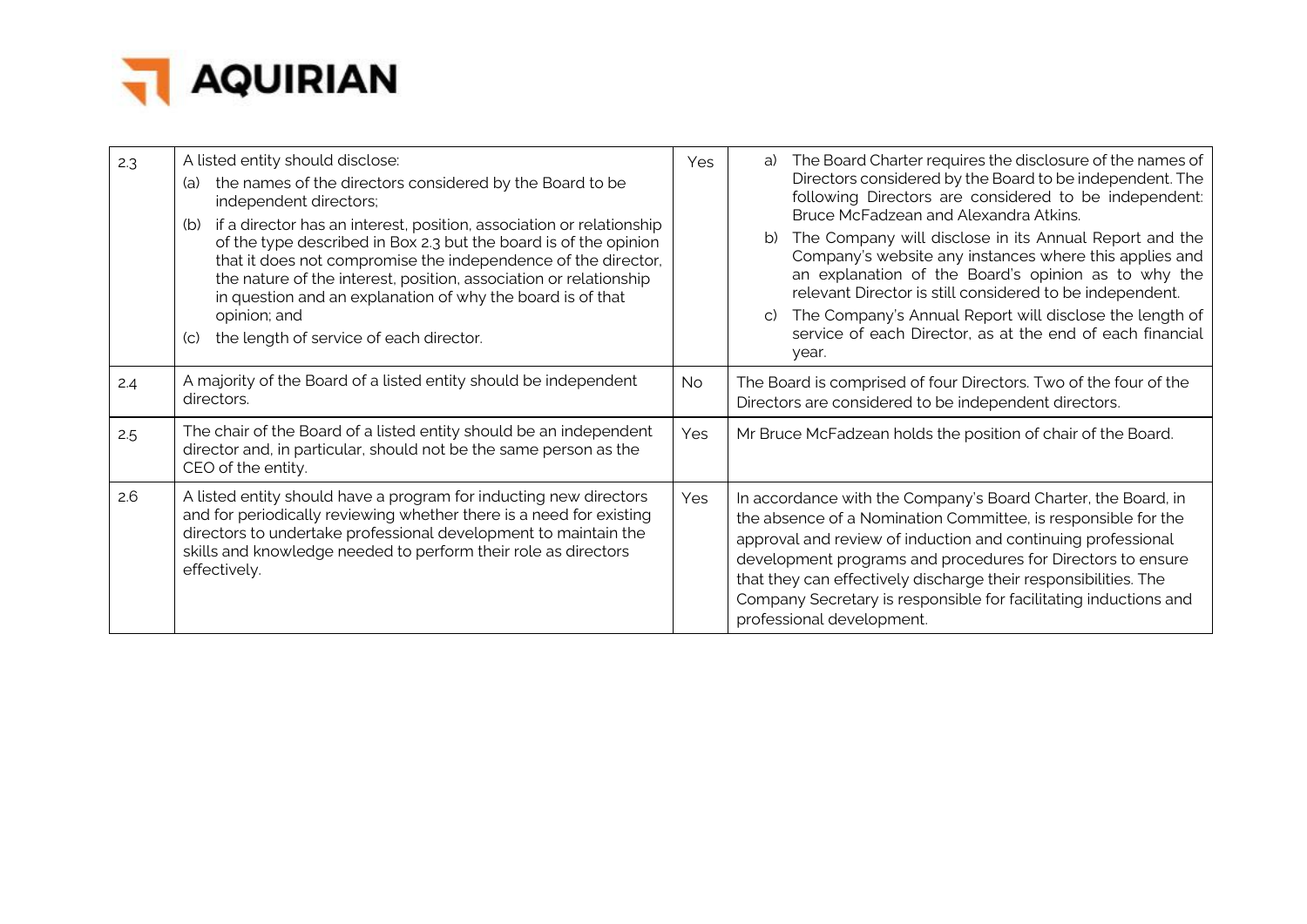

| 2.3 | A listed entity should disclose:<br>the names of the directors considered by the Board to be<br>(a)<br>independent directors;<br>if a director has an interest, position, association or relationship<br>(b)<br>of the type described in Box 2.3 but the board is of the opinion<br>that it does not compromise the independence of the director,<br>the nature of the interest, position, association or relationship<br>in question and an explanation of why the board is of that<br>opinion; and<br>the length of service of each director.<br>$\mathcal{L}(\mathsf{C})$ | Yes | The Board Charter requires the disclosure of the names of<br>a)<br>Directors considered by the Board to be independent. The<br>following Directors are considered to be independent:<br>Bruce McFadzean and Alexandra Atkins.<br>The Company will disclose in its Annual Report and the<br>Company's website any instances where this applies and<br>an explanation of the Board's opinion as to why the<br>relevant Director is still considered to be independent.<br>The Company's Annual Report will disclose the length of<br>service of each Director, as at the end of each financial<br>year. |
|-----|------------------------------------------------------------------------------------------------------------------------------------------------------------------------------------------------------------------------------------------------------------------------------------------------------------------------------------------------------------------------------------------------------------------------------------------------------------------------------------------------------------------------------------------------------------------------------|-----|-------------------------------------------------------------------------------------------------------------------------------------------------------------------------------------------------------------------------------------------------------------------------------------------------------------------------------------------------------------------------------------------------------------------------------------------------------------------------------------------------------------------------------------------------------------------------------------------------------|
| 2.4 | A majority of the Board of a listed entity should be independent<br>directors.                                                                                                                                                                                                                                                                                                                                                                                                                                                                                               | No. | The Board is comprised of four Directors. Two of the four of the<br>Directors are considered to be independent directors.                                                                                                                                                                                                                                                                                                                                                                                                                                                                             |
| 2.5 | The chair of the Board of a listed entity should be an independent<br>director and, in particular, should not be the same person as the<br>CEO of the entity.                                                                                                                                                                                                                                                                                                                                                                                                                | Yes | Mr Bruce McFadzean holds the position of chair of the Board.                                                                                                                                                                                                                                                                                                                                                                                                                                                                                                                                          |
| 2.6 | A listed entity should have a program for inducting new directors<br>and for periodically reviewing whether there is a need for existing<br>directors to undertake professional development to maintain the<br>skills and knowledge needed to perform their role as directors<br>effectively.                                                                                                                                                                                                                                                                                | Yes | In accordance with the Company's Board Charter, the Board, in<br>the absence of a Nomination Committee, is responsible for the<br>approval and review of induction and continuing professional<br>development programs and procedures for Directors to ensure<br>that they can effectively discharge their responsibilities. The<br>Company Secretary is responsible for facilitating inductions and<br>professional development.                                                                                                                                                                     |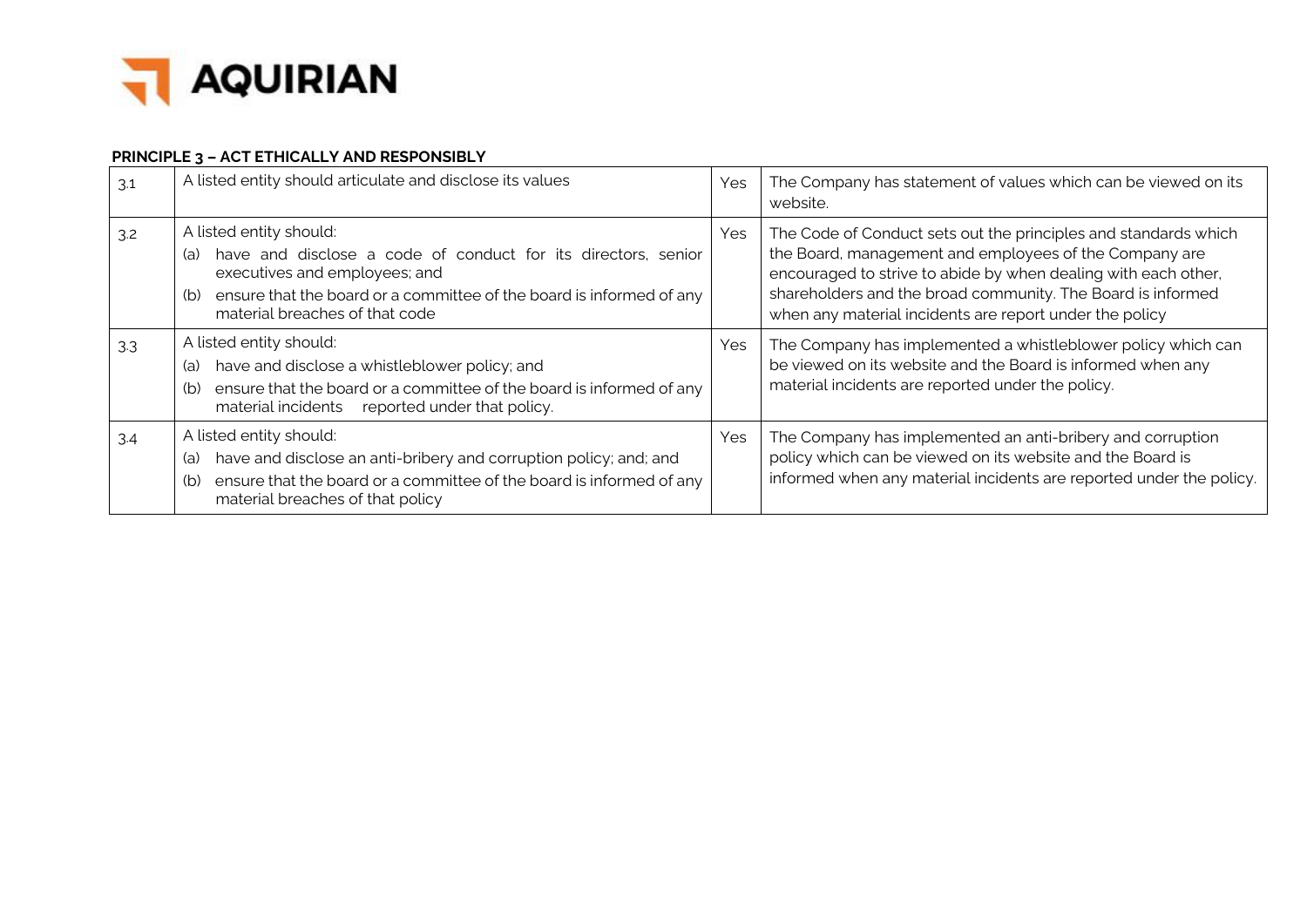

## **PRINCIPLE 3 – ACT ETHICALLY AND RESPONSIBLY**

| 3.1 | A listed entity should articulate and disclose its values                                                                                                                                                                                         | Yes | The Company has statement of values which can be viewed on its<br>website.                                                                                                                                                                                                                                            |
|-----|---------------------------------------------------------------------------------------------------------------------------------------------------------------------------------------------------------------------------------------------------|-----|-----------------------------------------------------------------------------------------------------------------------------------------------------------------------------------------------------------------------------------------------------------------------------------------------------------------------|
| 3.2 | A listed entity should:<br>have and disclose a code of conduct for its directors, senior<br>(a)<br>executives and employees; and<br>ensure that the board or a committee of the board is informed of any<br>(b)<br>material breaches of that code | Yes | The Code of Conduct sets out the principles and standards which<br>the Board, management and employees of the Company are<br>encouraged to strive to abide by when dealing with each other,<br>shareholders and the broad community. The Board is informed<br>when any material incidents are report under the policy |
| 3.3 | A listed entity should:<br>have and disclose a whistleblower policy; and<br>(a)<br>ensure that the board or a committee of the board is informed of any<br>(b)<br>reported under that policy.<br>material incidents                               | Yes | The Company has implemented a whistleblower policy which can<br>be viewed on its website and the Board is informed when any<br>material incidents are reported under the policy.                                                                                                                                      |
| 3.4 | A listed entity should:<br>have and disclose an anti-bribery and corruption policy; and; and<br>(a)<br>ensure that the board or a committee of the board is informed of any<br>(b)<br>material breaches of that policy                            | Yes | The Company has implemented an anti-bribery and corruption<br>policy which can be viewed on its website and the Board is<br>informed when any material incidents are reported under the policy.                                                                                                                       |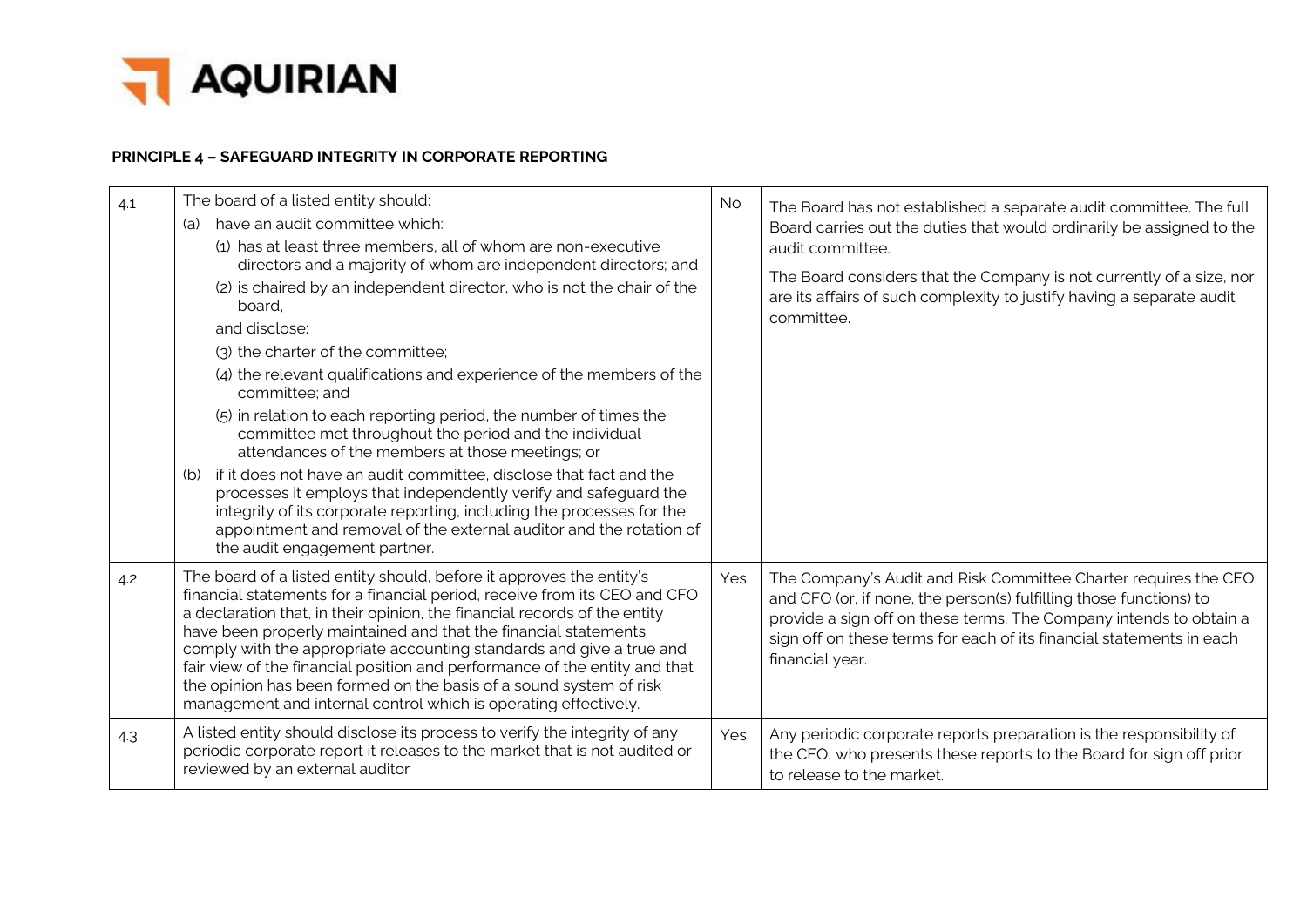

# **PRINCIPLE 4 – SAFEGUARD INTEGRITY IN CORPORATE REPORTING**

| 4.1 | The board of a listed entity should:<br>have an audit committee which:<br>(a)<br>(1) has at least three members, all of whom are non-executive<br>directors and a majority of whom are independent directors; and<br>(2) is chaired by an independent director, who is not the chair of the<br>board.<br>and disclose:<br>(3) the charter of the committee;<br>(4) the relevant qualifications and experience of the members of the<br>committee; and<br>(5) in relation to each reporting period, the number of times the<br>committee met throughout the period and the individual<br>attendances of the members at those meetings; or<br>if it does not have an audit committee, disclose that fact and the<br>(b)<br>processes it employs that independently verify and safeguard the<br>integrity of its corporate reporting, including the processes for the<br>appointment and removal of the external auditor and the rotation of<br>the audit engagement partner. | <b>No</b> | The Board has not established a separate audit committee. The full<br>Board carries out the duties that would ordinarily be assigned to the<br>audit committee.<br>The Board considers that the Company is not currently of a size, nor<br>are its affairs of such complexity to justify having a separate audit<br>committee. |
|-----|----------------------------------------------------------------------------------------------------------------------------------------------------------------------------------------------------------------------------------------------------------------------------------------------------------------------------------------------------------------------------------------------------------------------------------------------------------------------------------------------------------------------------------------------------------------------------------------------------------------------------------------------------------------------------------------------------------------------------------------------------------------------------------------------------------------------------------------------------------------------------------------------------------------------------------------------------------------------------|-----------|--------------------------------------------------------------------------------------------------------------------------------------------------------------------------------------------------------------------------------------------------------------------------------------------------------------------------------|
| 4.2 | The board of a listed entity should, before it approves the entity's<br>financial statements for a financial period, receive from its CEO and CFO<br>a declaration that, in their opinion, the financial records of the entity<br>have been properly maintained and that the financial statements<br>comply with the appropriate accounting standards and give a true and<br>fair view of the financial position and performance of the entity and that<br>the opinion has been formed on the basis of a sound system of risk<br>management and internal control which is operating effectively.                                                                                                                                                                                                                                                                                                                                                                           | Yes       | The Company's Audit and Risk Committee Charter requires the CEO<br>and CFO (or, if none, the person(s) fulfilling those functions) to<br>provide a sign off on these terms. The Company intends to obtain a<br>sign off on these terms for each of its financial statements in each<br>financial year.                         |
| 4.3 | A listed entity should disclose its process to verify the integrity of any<br>periodic corporate report it releases to the market that is not audited or<br>reviewed by an external auditor                                                                                                                                                                                                                                                                                                                                                                                                                                                                                                                                                                                                                                                                                                                                                                                | Yes       | Any periodic corporate reports preparation is the responsibility of<br>the CFO, who presents these reports to the Board for sign off prior<br>to release to the market.                                                                                                                                                        |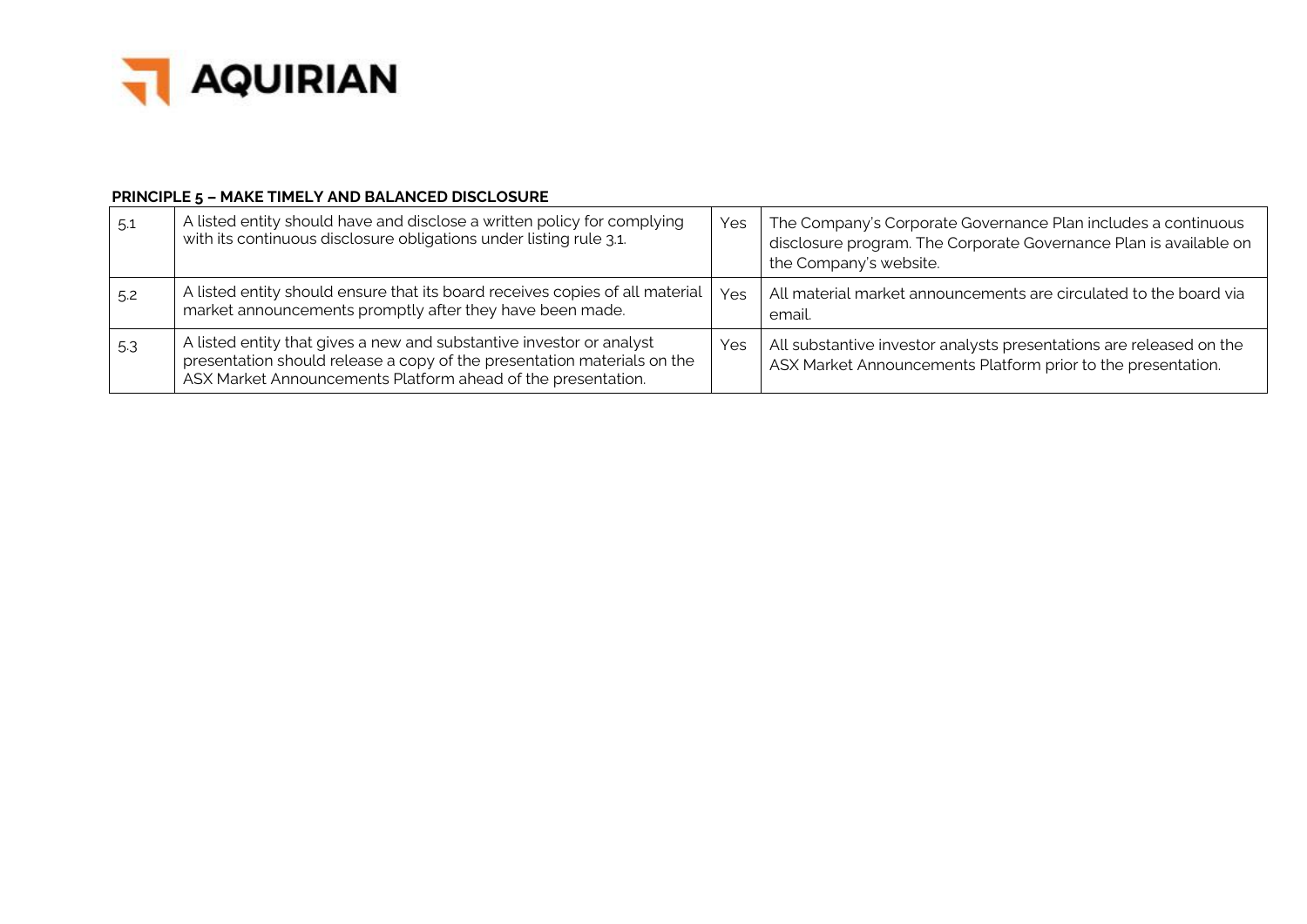

#### **PRINCIPLE 5 – MAKE TIMELY AND BALANCED DISCLOSURE**

| 5.1 | A listed entity should have and disclose a written policy for complying<br>with its continuous disclosure obligations under listing rule 3.1.                                                                   | Yes | The Company's Corporate Governance Plan includes a continuous<br>disclosure program. The Corporate Governance Plan is available on<br>the Company's website. |
|-----|-----------------------------------------------------------------------------------------------------------------------------------------------------------------------------------------------------------------|-----|--------------------------------------------------------------------------------------------------------------------------------------------------------------|
| 5.2 | A listed entity should ensure that its board receives copies of all material<br>market announcements promptly after they have been made.                                                                        | Yes | All material market announcements are circulated to the board via<br>email.                                                                                  |
| 5.3 | A listed entity that gives a new and substantive investor or analyst<br>presentation should release a copy of the presentation materials on the<br>ASX Market Announcements Platform ahead of the presentation. | Yes | All substantive investor analysts presentations are released on the<br>ASX Market Announcements Platform prior to the presentation.                          |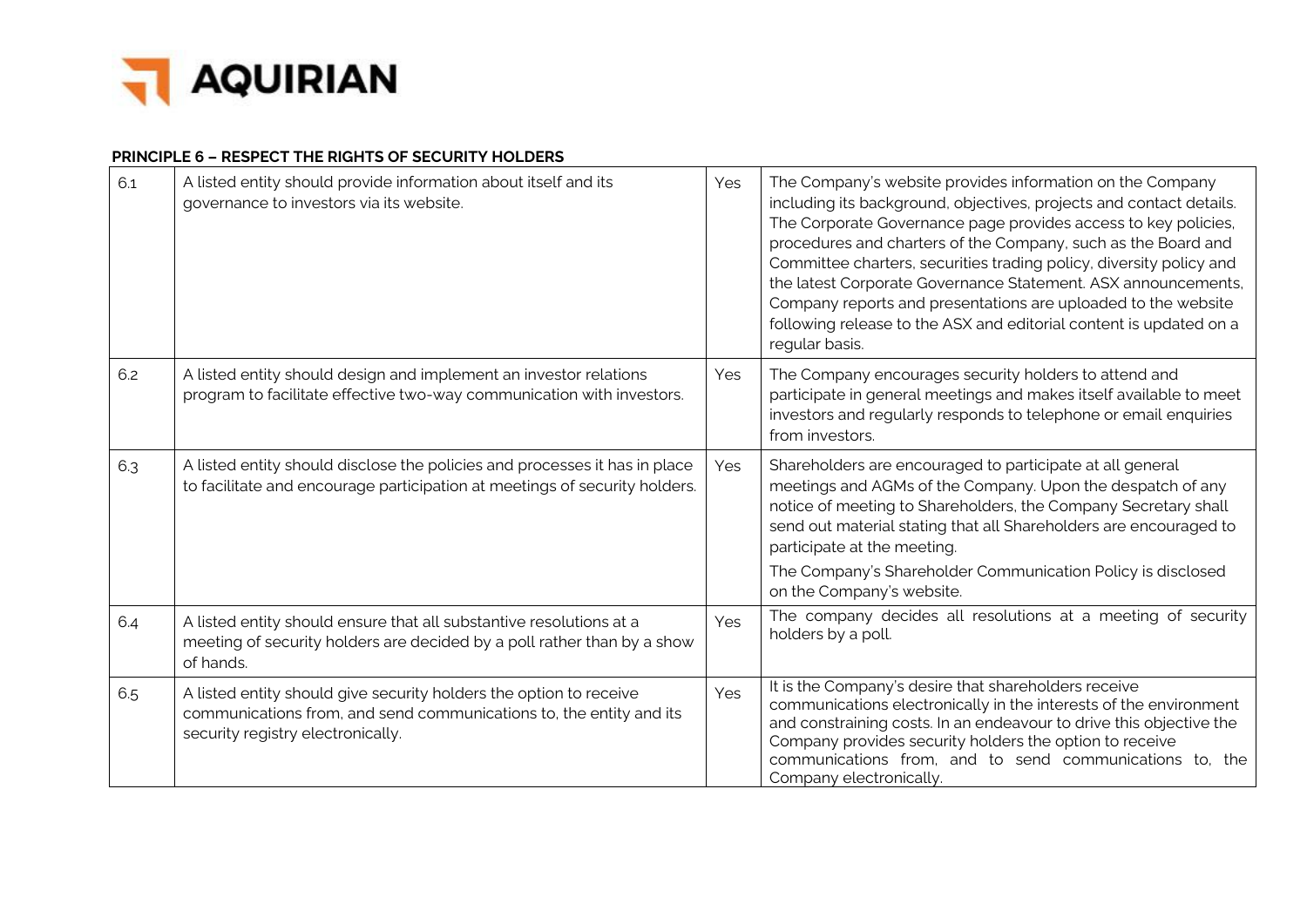

#### **PRINCIPLE 6 – RESPECT THE RIGHTS OF SECURITY HOLDERS**

| 6.1 | A listed entity should provide information about itself and its<br>governance to investors via its website.                                                                    | Yes | The Company's website provides information on the Company<br>including its background, objectives, projects and contact details.<br>The Corporate Governance page provides access to key policies,<br>procedures and charters of the Company, such as the Board and<br>Committee charters, securities trading policy, diversity policy and<br>the latest Corporate Governance Statement. ASX announcements,<br>Company reports and presentations are uploaded to the website<br>following release to the ASX and editorial content is updated on a<br>regular basis. |
|-----|--------------------------------------------------------------------------------------------------------------------------------------------------------------------------------|-----|----------------------------------------------------------------------------------------------------------------------------------------------------------------------------------------------------------------------------------------------------------------------------------------------------------------------------------------------------------------------------------------------------------------------------------------------------------------------------------------------------------------------------------------------------------------------|
| 6.2 | A listed entity should design and implement an investor relations<br>program to facilitate effective two-way communication with investors.                                     | Yes | The Company encourages security holders to attend and<br>participate in general meetings and makes itself available to meet<br>investors and regularly responds to telephone or email enquiries<br>from investors.                                                                                                                                                                                                                                                                                                                                                   |
| 6.3 | A listed entity should disclose the policies and processes it has in place<br>to facilitate and encourage participation at meetings of security holders.                       | Yes | Shareholders are encouraged to participate at all general<br>meetings and AGMs of the Company. Upon the despatch of any<br>notice of meeting to Shareholders, the Company Secretary shall<br>send out material stating that all Shareholders are encouraged to<br>participate at the meeting.                                                                                                                                                                                                                                                                        |
|     |                                                                                                                                                                                |     | The Company's Shareholder Communication Policy is disclosed<br>on the Company's website.                                                                                                                                                                                                                                                                                                                                                                                                                                                                             |
| 6.4 | A listed entity should ensure that all substantive resolutions at a<br>meeting of security holders are decided by a poll rather than by a show<br>of hands.                    | Yes | The company decides all resolutions at a meeting of security<br>holders by a poll.                                                                                                                                                                                                                                                                                                                                                                                                                                                                                   |
| 6.5 | A listed entity should give security holders the option to receive<br>communications from, and send communications to, the entity and its<br>security registry electronically. | Yes | It is the Company's desire that shareholders receive<br>communications electronically in the interests of the environment<br>and constraining costs. In an endeavour to drive this objective the<br>Company provides security holders the option to receive<br>communications from, and to send communications to, the<br>Company electronically.                                                                                                                                                                                                                    |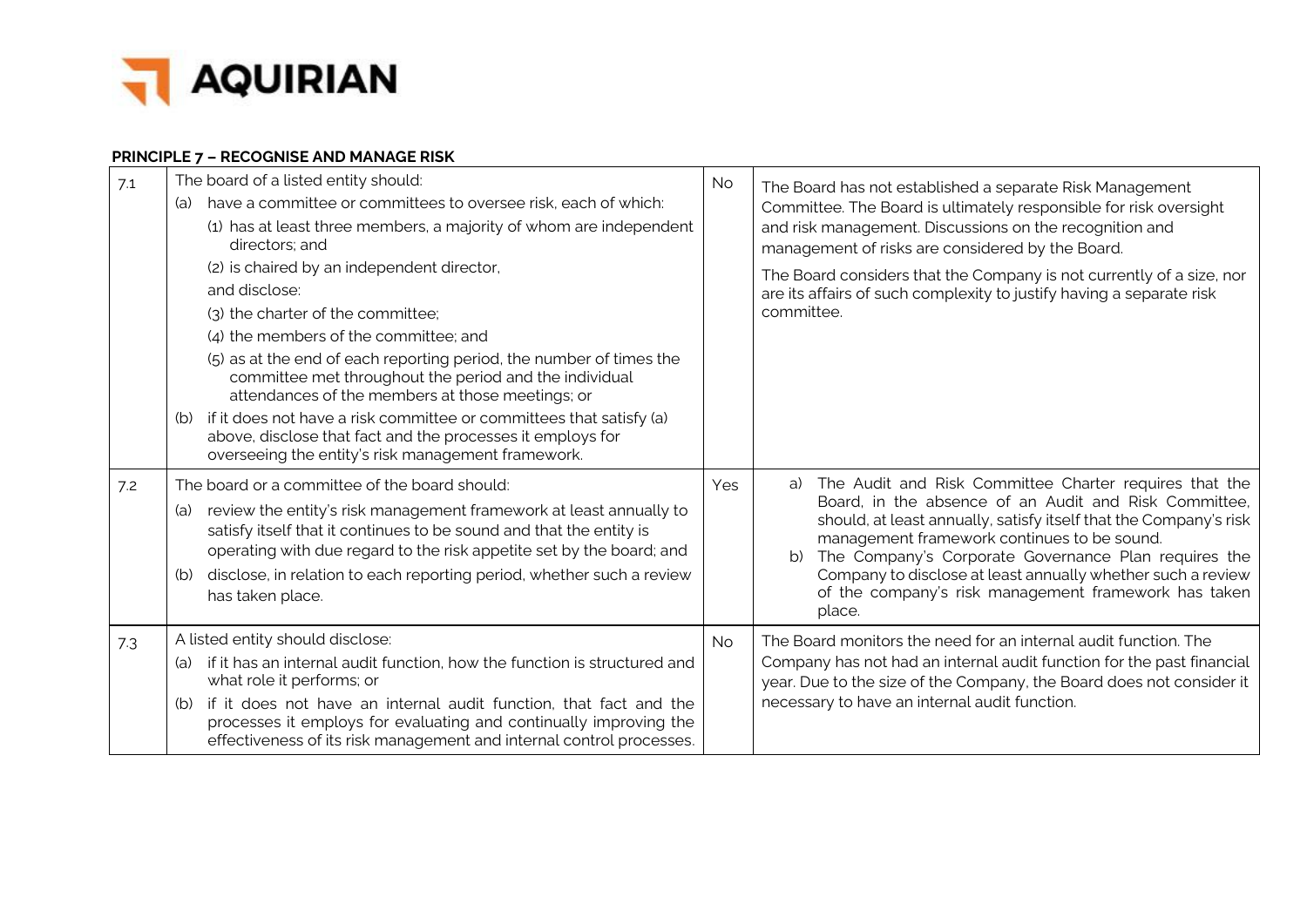

## **PRINCIPLE 7 – RECOGNISE AND MANAGE RISK**

| 7.1 | The board of a listed entity should:<br>have a committee or committees to oversee risk, each of which:<br>(a)<br>(1) has at least three members, a majority of whom are independent<br>directors; and<br>(2) is chaired by an independent director,<br>and disclose:<br>(3) the charter of the committee;<br>(4) the members of the committee; and<br>(5) as at the end of each reporting period, the number of times the<br>committee met throughout the period and the individual<br>attendances of the members at those meetings; or<br>(b) if it does not have a risk committee or committees that satisfy (a)<br>above, disclose that fact and the processes it employs for<br>overseeing the entity's risk management framework. | <b>No</b> | The Board has not established a separate Risk Management<br>Committee. The Board is ultimately responsible for risk oversight<br>and risk management. Discussions on the recognition and<br>management of risks are considered by the Board.<br>The Board considers that the Company is not currently of a size, nor<br>are its affairs of such complexity to justify having a separate risk<br>committee.                               |
|-----|----------------------------------------------------------------------------------------------------------------------------------------------------------------------------------------------------------------------------------------------------------------------------------------------------------------------------------------------------------------------------------------------------------------------------------------------------------------------------------------------------------------------------------------------------------------------------------------------------------------------------------------------------------------------------------------------------------------------------------------|-----------|------------------------------------------------------------------------------------------------------------------------------------------------------------------------------------------------------------------------------------------------------------------------------------------------------------------------------------------------------------------------------------------------------------------------------------------|
| 7.2 | The board or a committee of the board should:<br>review the entity's risk management framework at least annually to<br>(a)<br>satisfy itself that it continues to be sound and that the entity is<br>operating with due regard to the risk appetite set by the board; and<br>disclose, in relation to each reporting period, whether such a review<br>(b)<br>has taken place.                                                                                                                                                                                                                                                                                                                                                          | Yes       | The Audit and Risk Committee Charter requires that the<br>a)<br>Board, in the absence of an Audit and Risk Committee,<br>should, at least annually, satisfy itself that the Company's risk<br>management framework continues to be sound.<br>The Company's Corporate Governance Plan requires the<br>b)<br>Company to disclose at least annually whether such a review<br>of the company's risk management framework has taken<br>place. |
| 7.3 | A listed entity should disclose:<br>if it has an internal audit function, how the function is structured and<br>(a)<br>what role it performs; or<br>if it does not have an internal audit function, that fact and the<br>(b)<br>processes it employs for evaluating and continually improving the<br>effectiveness of its risk management and internal control processes.                                                                                                                                                                                                                                                                                                                                                              | <b>No</b> | The Board monitors the need for an internal audit function. The<br>Company has not had an internal audit function for the past financial<br>year. Due to the size of the Company, the Board does not consider it<br>necessary to have an internal audit function.                                                                                                                                                                        |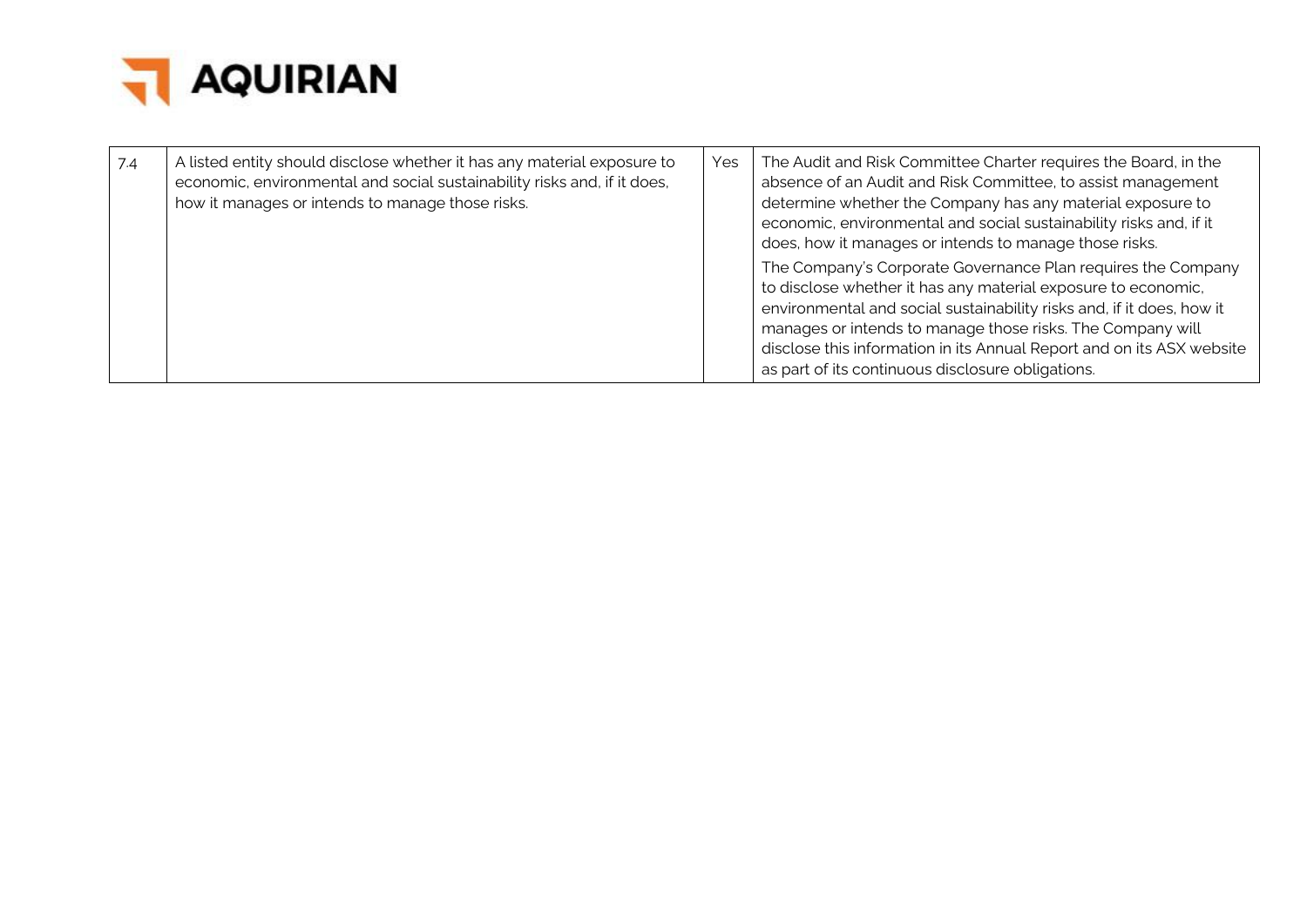

| 7.4 | A listed entity should disclose whether it has any material exposure to<br>economic, environmental and social sustainability risks and, if it does,<br>how it manages or intends to manage those risks. | Yes | The Audit and Risk Committee Charter requires the Board, in the<br>absence of an Audit and Risk Committee, to assist management<br>determine whether the Company has any material exposure to<br>economic, environmental and social sustainability risks and, if it<br>does, how it manages or intends to manage those risks.                                                                      |
|-----|---------------------------------------------------------------------------------------------------------------------------------------------------------------------------------------------------------|-----|----------------------------------------------------------------------------------------------------------------------------------------------------------------------------------------------------------------------------------------------------------------------------------------------------------------------------------------------------------------------------------------------------|
|     |                                                                                                                                                                                                         |     | The Company's Corporate Governance Plan requires the Company<br>to disclose whether it has any material exposure to economic,<br>environmental and social sustainability risks and, if it does, how it<br>manages or intends to manage those risks. The Company will<br>disclose this information in its Annual Report and on its ASX website<br>as part of its continuous disclosure obligations. |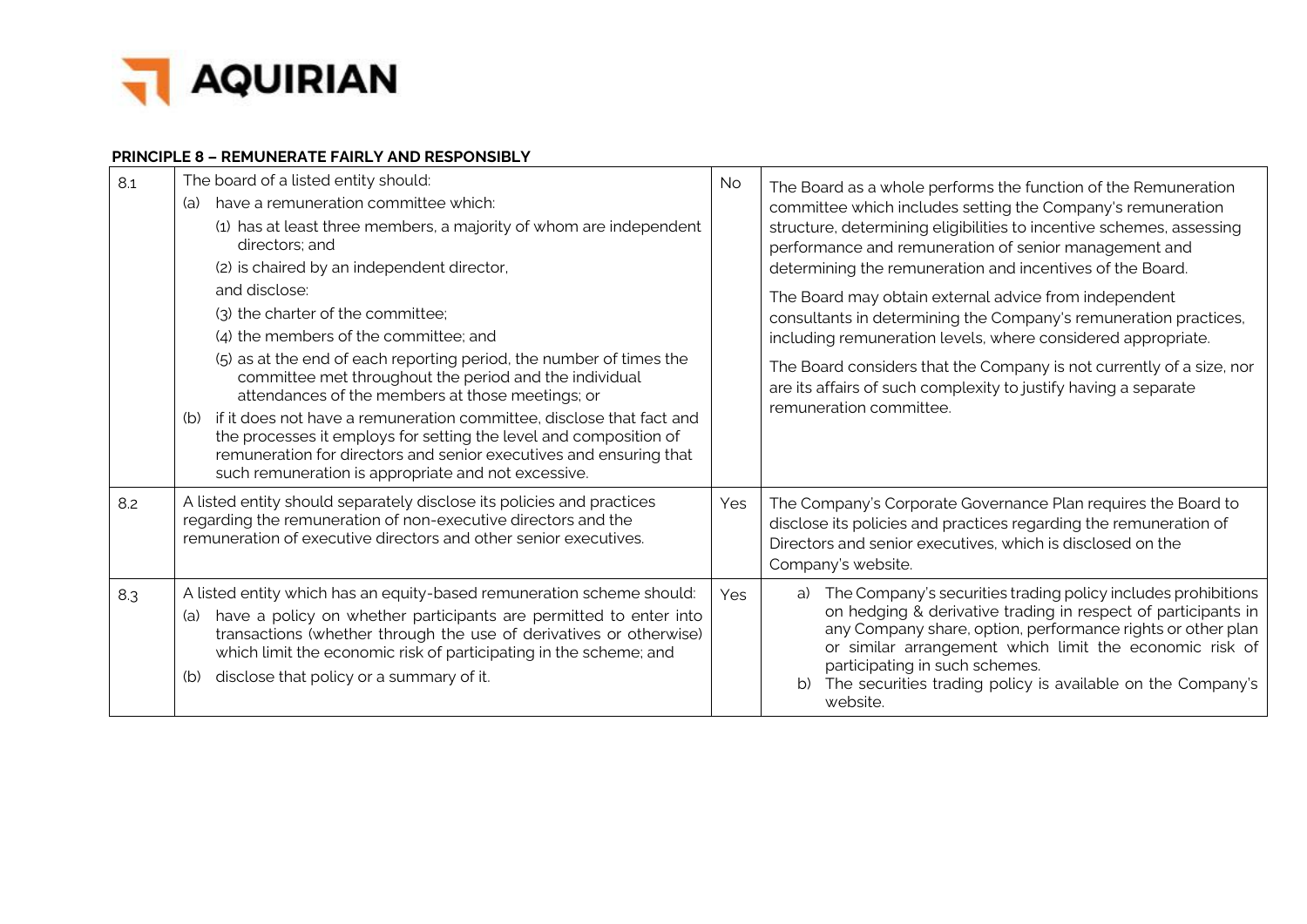

#### **PRINCIPLE 8 – REMUNERATE FAIRLY AND RESPONSIBLY**

| 8.1 | The board of a listed entity should:<br>have a remuneration committee which:<br>(a)<br>(1) has at least three members, a majority of whom are independent<br>directors: and<br>(2) is chaired by an independent director,<br>and disclose:<br>(3) the charter of the committee;<br>(4) the members of the committee; and<br>(5) as at the end of each reporting period, the number of times the<br>committee met throughout the period and the individual<br>attendances of the members at those meetings; or<br>if it does not have a remuneration committee, disclose that fact and<br>(b) | <b>No</b> | The Board as a whole performs the function of the Remuneration<br>committee which includes setting the Company's remuneration<br>structure, determining eligibilities to incentive schemes, assessing<br>performance and remuneration of senior management and<br>determining the remuneration and incentives of the Board.<br>The Board may obtain external advice from independent<br>consultants in determining the Company's remuneration practices,<br>including remuneration levels, where considered appropriate.<br>The Board considers that the Company is not currently of a size, nor<br>are its affairs of such complexity to justify having a separate<br>remuneration committee. |
|-----|----------------------------------------------------------------------------------------------------------------------------------------------------------------------------------------------------------------------------------------------------------------------------------------------------------------------------------------------------------------------------------------------------------------------------------------------------------------------------------------------------------------------------------------------------------------------------------------------|-----------|------------------------------------------------------------------------------------------------------------------------------------------------------------------------------------------------------------------------------------------------------------------------------------------------------------------------------------------------------------------------------------------------------------------------------------------------------------------------------------------------------------------------------------------------------------------------------------------------------------------------------------------------------------------------------------------------|
|     | the processes it employs for setting the level and composition of<br>remuneration for directors and senior executives and ensuring that<br>such remuneration is appropriate and not excessive.                                                                                                                                                                                                                                                                                                                                                                                               |           |                                                                                                                                                                                                                                                                                                                                                                                                                                                                                                                                                                                                                                                                                                |
| 8.2 | A listed entity should separately disclose its policies and practices<br>regarding the remuneration of non-executive directors and the<br>remuneration of executive directors and other senior executives.                                                                                                                                                                                                                                                                                                                                                                                   | Yes       | The Company's Corporate Governance Plan requires the Board to<br>disclose its policies and practices regarding the remuneration of<br>Directors and senior executives, which is disclosed on the<br>Company's website.                                                                                                                                                                                                                                                                                                                                                                                                                                                                         |
| 8.3 | A listed entity which has an equity-based remuneration scheme should:<br>have a policy on whether participants are permitted to enter into<br>(a)<br>transactions (whether through the use of derivatives or otherwise)<br>which limit the economic risk of participating in the scheme; and<br>disclose that policy or a summary of it.<br>(b)                                                                                                                                                                                                                                              | Yes       | The Company's securities trading policy includes prohibitions<br>a)<br>on hedging & derivative trading in respect of participants in<br>any Company share, option, performance rights or other plan<br>or similar arrangement which limit the economic risk of<br>participating in such schemes.<br>The securities trading policy is available on the Company's<br>website.                                                                                                                                                                                                                                                                                                                    |